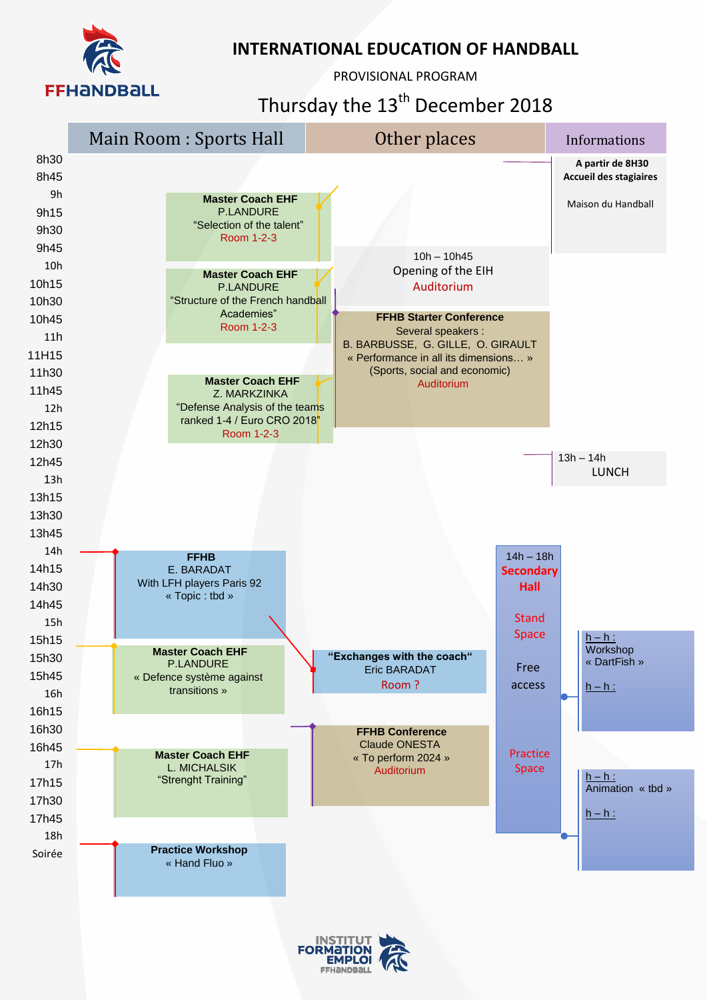

PROVISIONAL PROGRAM

## Thursday the 13<sup>th</sup> December 2018



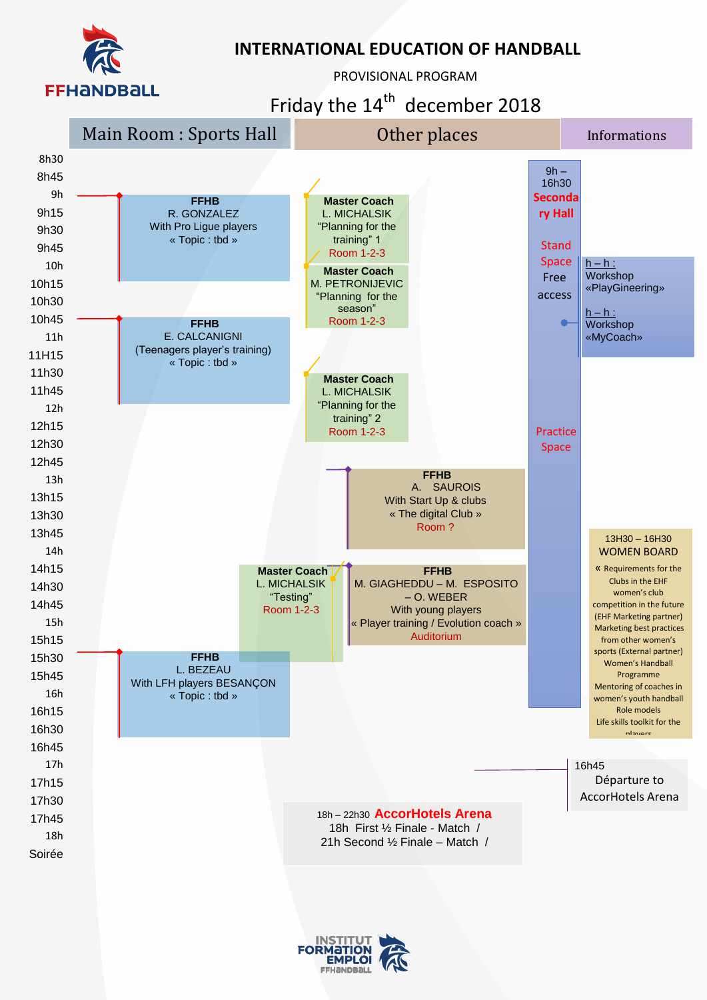

PROVISIONAL PROGRAM

Friday the  $14<sup>th</sup>$  december 2018



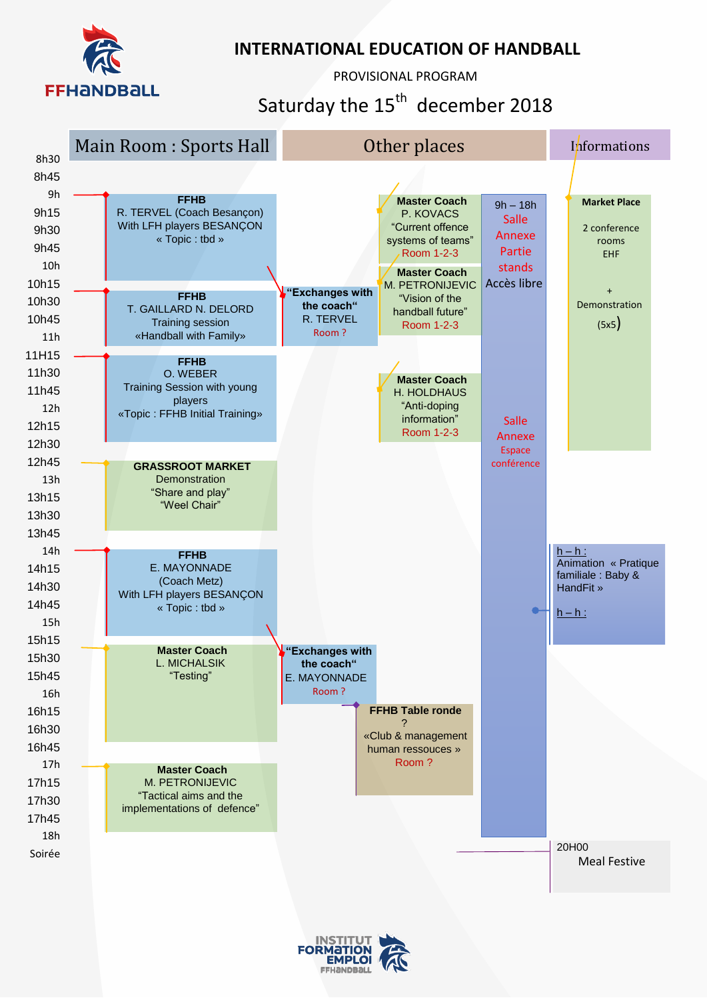

PROVISIONAL PROGRAM

Saturday the  $15<sup>th</sup>$  december 2018